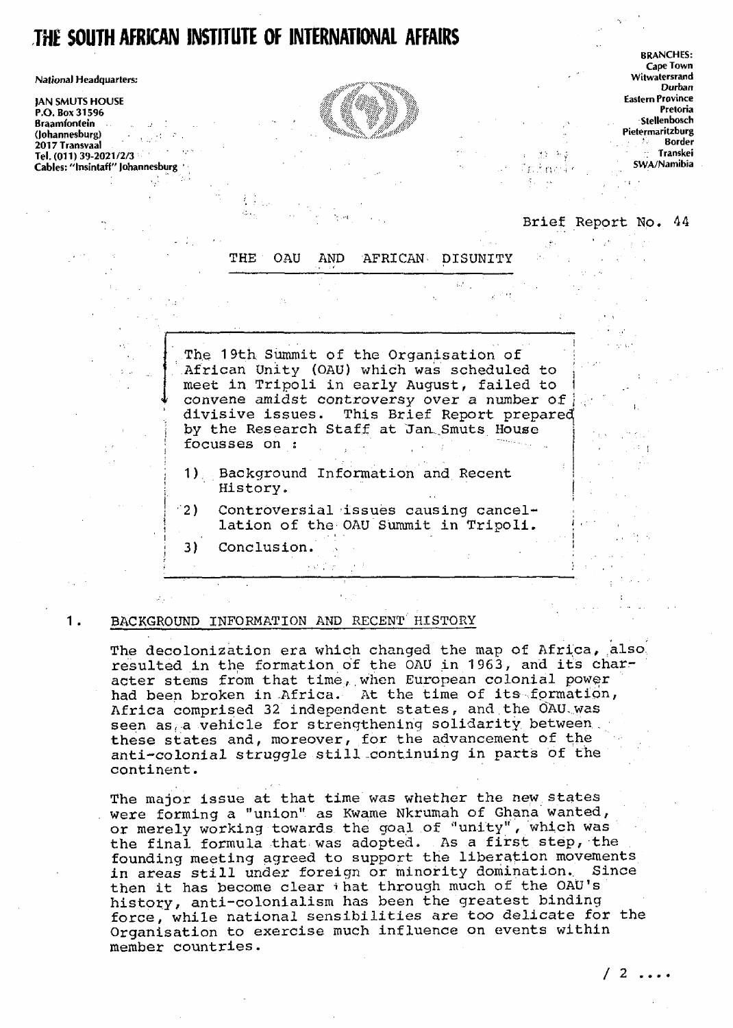# **THE SOUTH AFRICAN INSTITUTE OF INTERNATIONAL AFFAIRS**

National Headquarters:

JAN SMUTS HOUSE Eastern Province P.O. Box 31596 Braamfontein , . • > Stellenbosch (Johannesburg) - •: .- . . PietermanUburg 2017 Transvaal borde regional de la construction de la construction de la construction de la construction de la construction<br>Desenvoluppe de la construction de la construction de la construction de la construction de la construction de Ed. (011) 39-2021/2/3 | Transkei<br>
Tel. (011) 39-2021/2/3 | Yunshitaff'' Johannesburg | Yunshitaff'' Johannesburg | Yunshitaff'' Johannesburg | <br>
Cables: "Insintaff" Johannesburg | Yunshitaff'' Johannesburg | Yunshitaff' Jo Cables: "Institution potential services" in the swarter of the swarter of the swarter of Swarter of Swarter of Swarter of Swarter of Swarter of Swarter of Swarter of Swarter of Swarter of Swarter of Swarter of Swarter of S

**A** A



BRANCHES: Cape Town<br>Witwatersrand Durban<br>Eastern Province

## Brief Report No. 44

à.  $\alpha_{\rm c}$  and  $\beta$ 

 $\mathbf{I}$ 

 $\mathcal{L}(\mathcal{I})$ 

|        |                                                                                                                                                                                                                                                                                              |  |                                      |  | THE OAU AND AFRICAN DISUNITY |  |  |
|--------|----------------------------------------------------------------------------------------------------------------------------------------------------------------------------------------------------------------------------------------------------------------------------------------------|--|--------------------------------------|--|------------------------------|--|--|
|        |                                                                                                                                                                                                                                                                                              |  |                                      |  |                              |  |  |
|        | The 19th Summit of the Organisation of<br>African Unity (OAU) which was scheduled to<br>meet in Tripoli in early August, failed to<br>convene amidst controversy over a number of<br>divisive issues. This Brief Report prepared<br>by the Research Staff at Jan Smuts House<br>focusses on: |  |                                      |  |                              |  |  |
|        | 1) Background Information and Recent<br>History.                                                                                                                                                                                                                                             |  |                                      |  |                              |  |  |
| $-2$ ) | Controversial issues causing cancel-                                                                                                                                                                                                                                                         |  | lation of the OAU Summit in Tripoli. |  |                              |  |  |
| 3)     | Conclusion.                                                                                                                                                                                                                                                                                  |  |                                      |  |                              |  |  |

## 1. BACKGROUND INFORMATION AND RECENT HISTORY

The decolonization era which changed the map of Africa, also, resulted in the formation of the OAU in 1963, and its character stems from that time, when European colonial power had been broken in Africa. At the time of its formation, Africa comprised 32 independent states, and the OAU was seen as, a vehicle for strengthening solidarity between, these states and, moreover, for the advancement of the anti-colonial struggle still .continuing in parts of the continent.

The major issue at that time was whether the new states . were forming a "union" as Kwame Nkrumah of Ghana wanted, or merely working towards the goal of "unity", which was the final formula that was adopted. As a first step, the founding meeting agreed to support the liberation movements in areas still under foreign or minority domination.. Since then it has become clear + hat through much of the OAU's history, anti-colonialism has been the greatest binding force, while national sensibilities are too delicate for the Organisation to exercise much influence on events within member countries.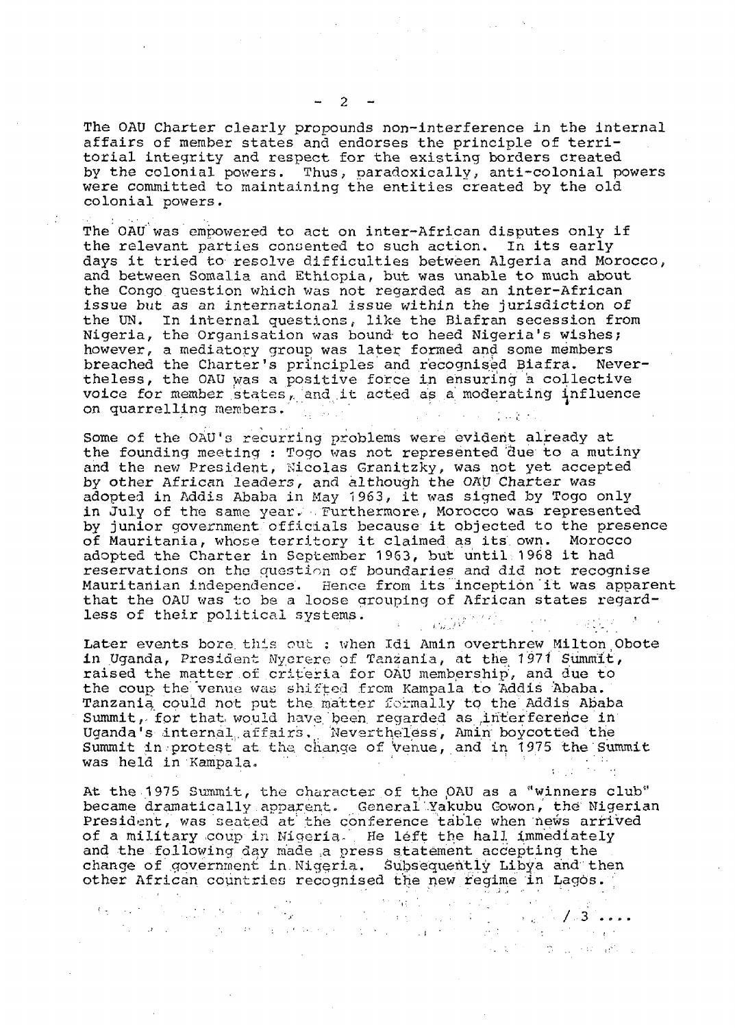The OAU Charter clearly propounds non-interference in the internal affairs of member states and endorses the principle of territorial integrity and respect for the existing borders created by the colonial powers. Thus, paradoxically, anti-colonial powers were committed to maintaining the entities created by the old colonial powers.

The OAU was empowered to act on inter-African disputes only if the relevant parties consented to such action. In its early days it tried to resolve difficulties between Algeria and Morocco, and between Somalia and Ethiopia, but was unable to much about the Congo question which was not regarded as an inter-African issue but as an international issue within the jurisdiction of the UN. In internal questions, like the Biafran secession from Nigeria, the Organisation was bound to heed Nigeria's wishes; however, a mediatory group was later formed and some members breached the Charter's principles and recognised Biafra. Nevertheless, the OAU was a positive force In ensuring a collective voice for member states, and it acted as a moderating influence on quarrelling members.  $\frac{1}{2}$  . The set of the set of the set of the set of the set of the set of the set of the set of the set of the set of the set of the set of the set of the set of the set of the set of the set of

Some of the OAU's recurring problems were evident already at the founding meeting : Togo was not represented due to a mutiny and the new President, Nicolas Granitzky, was not yet accepted by other African leaders, and although the OAU Charter was adopted in Addis Ababa in May 1963, it was signed by Togo only in July of the same year. Furthermore, Morocco was represented by junior government officials because it objected to the presence of Mauritania, whose territory it claimed as its. own. Morocco adopted the Charter in September 1963, but until 1968 it had reservations on the question of boundaries and did not recognise Mauritanian independence. Hence from its inception it was apparent that the OAU was to be a loose grouping of African states regardless of their political systems.  $\mathbf{v} = \mathbf{v} \mathbf{v} \mathbf{v} \mathbf{v}$ 

Later events bore this out : when Idi Amin overthrew Milton Obote in Uganda, President Nycrere of Tanzania, at the 1971 Summit, raised the matter of criteria for OAU membership, and due to the coup the venue was shifted from Kampala to Addis Ababa. Tanzania, could not put the matter formally to the Addis Ababa Summit, for that would have been regarded as interference in Uganda's internal affairs. Nevertheless, Amin boycotted the Summit in protest at the change of venue, and in 1975 the Summit was held in Kampala.

At the 1975 Summit, the character of the OAU as a "winners club" became dramatically apparent. General'Yakubu Gowon, the' Nigerian President, was seated at' the conference table when news arrived of a military coup in Migeria. He left the hall immediately and the following day made a press statement accepting the change of government in.Nigeria. Subsequently Libya and then other African countries recognised the new regime in Lagos.

. In this case, we can consider the constraint of the constraints of  $\mathcal{F}$  and  $\mathcal{F}$  and  $\mathcal{F}$  and  $\mathcal{F}$  and  $\mathcal{F}$  and  $\mathcal{F}$  and  $\mathcal{F}$  and  $\mathcal{F}$  and  $\mathcal{F}$  and  $\mathcal{F}$  and  $\mathcal{F}$  and  $\mathcal{F}$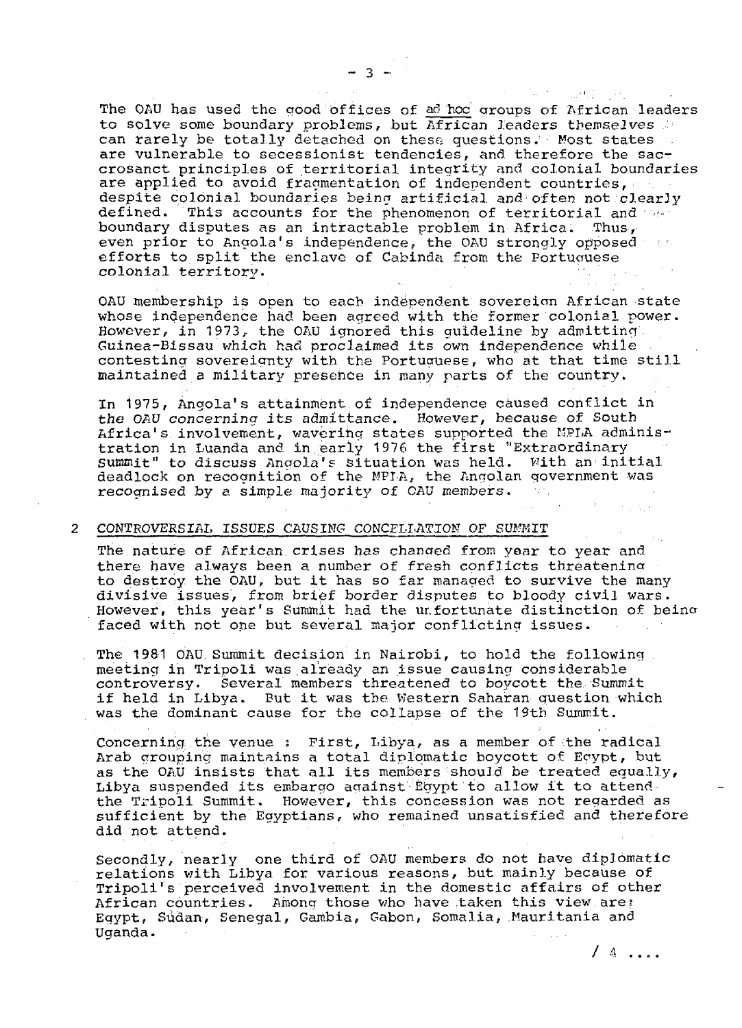The OAU has used the good offices of ad hoc groups of African leaders to solve some boundary problems, but African leaders themselves can rarely be totally detached on these questions. Most states are vulnerable to secessionist tendencies, and therefore the saccrosanct principles of territorial integrity and colonial boundaries are applied to avoid fragmentation of independent countries, despite colonial boundaries being artificial and often not clearly defined. This accounts for the phenomenon of territorial and the boundary disputes as an intractable problem in Africa. Thus, even prior to Angola's independence, the OAU strongly opposed and efforts to split the enclave of Cabinda from the Portuauese colonial territory.

 $\label{eq:2} \mathcal{F}^{\mu\nu} = \mathcal{F}^{\mu\nu}_{\mu\nu} \mathcal{F}^{\mu\nu}_{\nu\sigma} = -\frac{1}{2} \partial_{\mu} \mathcal{F}^{\mu\nu}_{\nu\sigma} = -i \partial_{\nu} \mathcal{F}^{\mu\nu}_{\nu\sigma}$ 

OAU membership is open to each independent sovereian African state whose independence had been agreed with the former colonial power. However, in 1973, the OAU ignored this guideline by admitting. Guinea-Bissau which had proclaimed its own independence while contesting sovereignty with the Portuguese, who at that time still maintained a military presence in many parts of the country.

In 1975, Angola's attainment,of independence caused conflict in the OAU concerning its admittance. However, because of South Africa's involvement, wavering states supported the MPLA administration in Luanda and in early 1976 the first "Extraordinary Summit" to discuss Angola's situation was held. With an initial deadlock on recognition of the MPTA, the Angolan government was recognised by a simple majority of CAU members.

#### CONTROVERSIAL ISSUES CAUSING CONCELLATION OF SUMMIT

The nature of African crises has changed from year to year and there have always been a number of fresh conflicts threatening to destroy the OAU,, but it has so far managed to survive the many divisive issues, from brief border disputes to bloody civil wars. However, this year's Summit had the ur.fortunate distinction of beina faced with not one but several major conflicting issues.

The 1981 OAU. Summit decision in Nairobi, to hold the following. meeting in Tripoli was already an issue causing considerable controversy. Several members threatened to boycott the. Summit if held in Libya. But it was the Western Saharan question which was the dominant cause for the collapse of the 19th Summit.

Concerning the venue : First, Libya, as a member of the radical Arab grouping maintains a total diplomatic boycott of Egypt, but as the OAU insists that all its members"should be treated equally, Libya suspended its embargo against Egypt to allow it to attend the Tripoli Summit. However, this concession was not regarded as sufficient by the Egyptians, who remained unsatisfied and therefore did not attend.

Secondly, nearly one third of OAU members do not have diplomatic relations with Libya for various reasons, but mainly because of Tripoli's perceived involvement in the domestic affairs of other African countries. Among those who have taken this view are: Egypt, Sudan, Senegal, Gambia, Gabon, Somalia, Mauritania and Uganda.

 $-3 -$ 

/ 4 ....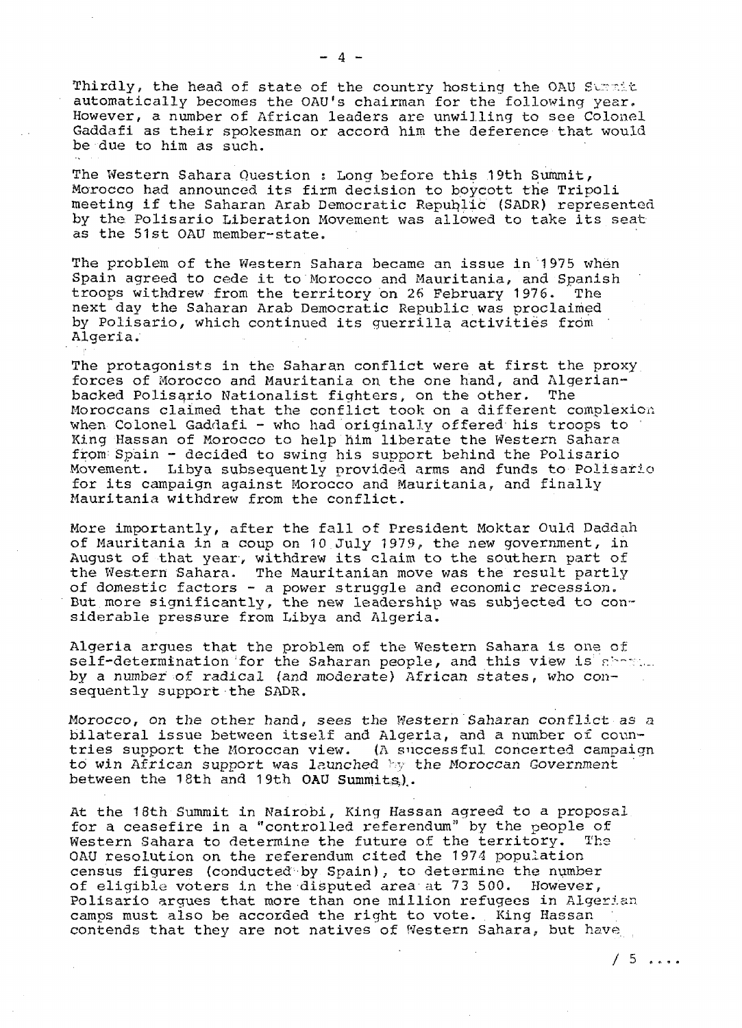Thirdly, the head of state of the country hosting the OAU Summit automatically becomes the OAU's chairman for the following year. However, a number of African leaders are unwilling to see Colonel Gaddafi as their spokesman or accord him the deference that would be due to him as such.

The Western Sahara Question ; Long before this 19th Summit, Morocco had announced its firm decision to boycott the Tripoli meeting if the Saharan Arab Democratic Republic (SADR) represented by the Polisario Liberation Movement was allowed to take its seat as the 51st OAU member-state.

The problem of the Western Sahara became an issue in 1975 when Spain agreed to cede it to Morocco and Mauritania, and Spanish troops withdrew from the territory on 26 February 1976. The next day the Saharan Arab Democratic Republic was proclaimed by Polisario, which continued its guerrilla activities from Algeria.

The protagonists in the Saharan conflict were at first the proxy forces of Morocco and Mauritania on the one hand, and Algerianbacked Polisario Nationalist fighters, on the other. The Moroccans claimed that the conflict took on a different complexion when Colonel Gaddafi - who had originally offered his troops to King Hassan of Morocco to help him liberate the Western Sahara from Spain - decided to swing his support behind the Polisario Movement. Libya subsequently provided arms and funds to Polisario for its campaign against Morocco and Mauritania, and finally Mauritania withdrew from the conflict.

More importantly, after the fall of President Moktar Ould Daddah of Mauritania in a coup on 10 July 1979, the new government, in August of that year, withdrew its claim to the southern part of the Western Sahara. The Mauritanian move was the result partly of domestic factors - a power struggle and economic recession. But more significantly, the new leadership was subjected to considerable pressure from Libya and Algeria.

Algeria argues that the problem of the Western Sahara is one of self-determination for the Saharan people, and this view is remain by a number of radical (and moderate) African states, who consequently support the SADR.

Morocco, on the other hand, sees the Western Saharan conflict as a bilateral issue between itself and Algeria, and a number of countries support the Moroccan view. (A successful concerted campaign to win African support was launched by the Moroccan Government between the 18th and 19th OAU Summits).

At the 18th Summit in Nairobi, King Hassan agreed to a proposal for a ceasefire in a "controlled referendum" by the people of Western Sahara to determine the future of the territory. The OAU resolution on the referendum cited the 1974 population census figures (conducted by Spain); to determine the number of eligible voters in the disputed area at 73 500. However, Polisario argues that more than one million refugees in Algerian camps must also be accorded the right to vote. King Hassan contends that they are not natives of Western Sahara, but have

 $/5$  ....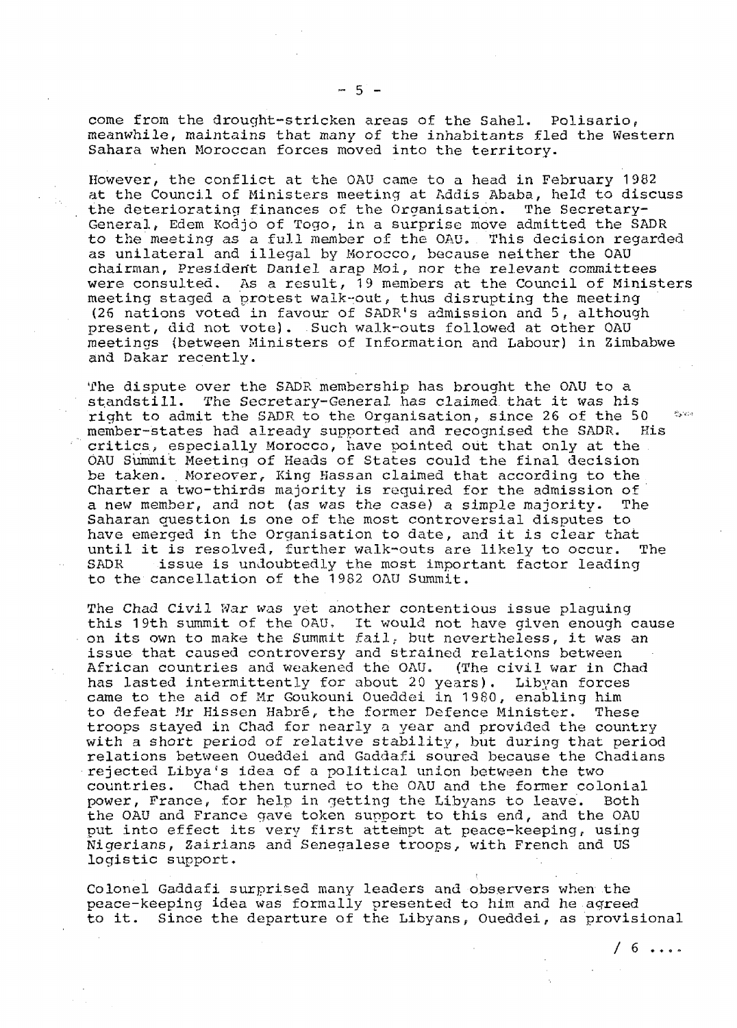come from the drought-stricken areas of the Sahel. Polisario, meanwhile, maintains that many of the inhabitants fled the Western Sahara when Moroccan forces moved into the territory.

However, the conflict at the OAU came to a head in February 1982 at the Council of Ministers meeting at Addis Ababa, held to discuss the deteriorating finances of the Organisation. The Secretary-General, Edem Kodjo of Togo, in a surprise move admitted the SADR to the meeting as a full member of the OAU, This decision regarded as unilateral and illegal by Morocco, because neither the OAU chairman, Presiderit Daniel arap Moi, nor the relevant committees were consulted. As a result, 19 members at the Council of Ministers meeting staged a protest walk-out, thus disrupting the meeting (26 nations voted in favour of SADR's admission and 5, although present, did not vote). Such walk-outs followed at other OAU meetings (between Ministers of Information and Labour) in Zimbabwe and Dakar recently.

The dispute over the SADR membership has brought the OAU to a standstill. The Secretary-General has claimed that it was his right to admit the SADR to the Organisation, since 26 of the 50  $^{\circ}$   $^{\circ}$ member-states had already supported and recognised the SADR. His critics., especially Morocco, have pointed out that only at the OAU Summit Meeting of Heads of States could the final decision be taken. Moreover, King Hassan claimed that according to the Charter a two-thirds majority is required for the admission of a new member, and not (as was the case) a simple majority. The Saharan question is one of the most controversial disputes to have emerged in the Organisation to date, and it is clear that until it is resolved, further walk-outs are likely to occur. The SADR issue is undoubtedly the most important factor leading to the cancellation of the 1982 OAU Summit.

The Chad Civil War was yet another contentious issue plaguing this 19th summit of the OAU, It would not have given enough cause on its own to make the Summit fail, but nevertheless, it was an issue that caused controversy and strained relations between African countries and weakened the OAU. (The civil war in Chad has lasted intermittently for about 20 years). Libyan forces came to the aid of Mr Goukouni Oueddei in 1980, enabling him to defeat Mr Hissen Habre, the former Defence Minister. These troops stayed in Chad for nearly a year and provided the country with a short period of relative stability, but during that period relations between Oueddei and Gaddafi soured because the Chadians rejected Libya's idea of a political union between the two countries. Chad then turned to the OAU and the former colonial power, France, for help in getting the Libyans to leave. Both the OAU and France gave token support to this end, and the OAU put into effect its very first attempt at peace-keeping, using Nigerians, Zairians and Senegalese troops, with French and US logistic support.

Colonel Gaddafi surprised many leaders and observers when the peace-keeping idea was formally presented to him and he.agreed to it. Since the departure of the Libyans, Oueddei, as provisional

/ 6 ....